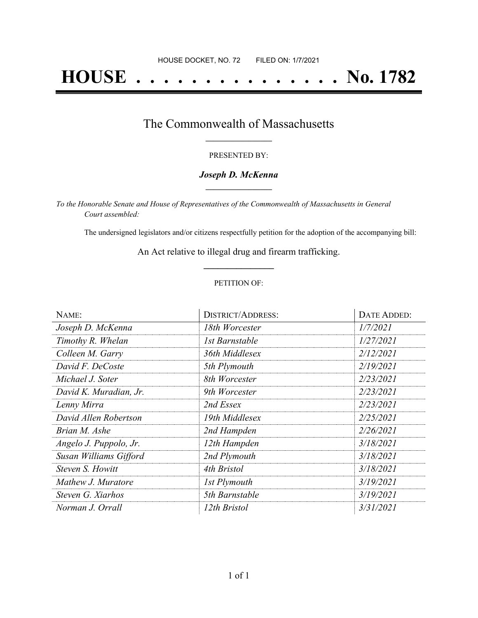# **HOUSE . . . . . . . . . . . . . . . No. 1782**

### The Commonwealth of Massachusetts **\_\_\_\_\_\_\_\_\_\_\_\_\_\_\_\_\_**

#### PRESENTED BY:

#### *Joseph D. McKenna* **\_\_\_\_\_\_\_\_\_\_\_\_\_\_\_\_\_**

*To the Honorable Senate and House of Representatives of the Commonwealth of Massachusetts in General Court assembled:*

The undersigned legislators and/or citizens respectfully petition for the adoption of the accompanying bill:

An Act relative to illegal drug and firearm trafficking. **\_\_\_\_\_\_\_\_\_\_\_\_\_\_\_**

#### PETITION OF:

| NAME:                  | <b>DISTRICT/ADDRESS:</b> | <b>DATE ADDED:</b> |  |  |
|------------------------|--------------------------|--------------------|--|--|
| Joseph D. McKenna      | 18th Worcester           | 1/7/2021           |  |  |
| Timothy R. Whelan      | 1st Barnstable           | 1/27/2021          |  |  |
| Colleen M. Garry       | 36th Middlesex           | 2/12/2021          |  |  |
| David F. DeCoste       | 5th Plymouth             | 2/19/2021          |  |  |
| Michael J. Soter       | 8th Worcester            | 2/23/2021          |  |  |
| David K. Muradian, Jr. | 9th Worcester            | 2/23/2021          |  |  |
| Lenny Mirra            | 2nd Essex                | 2/23/2021          |  |  |
| David Allen Robertson  | 19th Middlesex           | 2/25/2021          |  |  |
| Brian M. Ashe          | 2nd Hampden              | 2/26/2021          |  |  |
| Angelo J. Puppolo, Jr. | 12th Hampden             | 3/18/2021          |  |  |
| Susan Williams Gifford | 2nd Plymouth             | 3/18/2021          |  |  |
| Steven S. Howitt       | 4th Bristol              | 3/18/2021          |  |  |
| Mathew J. Muratore     | 1st Plymouth             | 3/19/2021          |  |  |
| Steven G. Xiarhos      | 5th Barnstable           | 3/19/2021          |  |  |
| Norman J. Orrall       | 12th Bristol             | 3/31/2021          |  |  |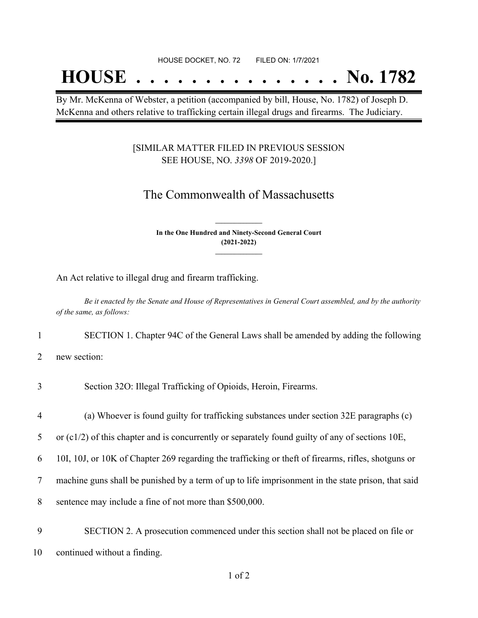## **HOUSE . . . . . . . . . . . . . . . No. 1782**

By Mr. McKenna of Webster, a petition (accompanied by bill, House, No. 1782) of Joseph D. McKenna and others relative to trafficking certain illegal drugs and firearms. The Judiciary.

#### [SIMILAR MATTER FILED IN PREVIOUS SESSION SEE HOUSE, NO. *3398* OF 2019-2020.]

## The Commonwealth of Massachusetts

**In the One Hundred and Ninety-Second General Court (2021-2022) \_\_\_\_\_\_\_\_\_\_\_\_\_\_\_**

**\_\_\_\_\_\_\_\_\_\_\_\_\_\_\_**

An Act relative to illegal drug and firearm trafficking.

Be it enacted by the Senate and House of Representatives in General Court assembled, and by the authority *of the same, as follows:*

1 SECTION 1. Chapter 94C of the General Laws shall be amended by adding the following

2 new section:

|  |  | Section 32O: Illegal Trafficking of Opioids, Heroin, Firearms. |  |  |
|--|--|----------------------------------------------------------------|--|--|
|  |  |                                                                |  |  |

4 (a) Whoever is found guilty for trafficking substances under section 32E paragraphs (c)

5 or (c1/2) of this chapter and is concurrently or separately found guilty of any of sections 10E,

6 10I, 10J, or 10K of Chapter 269 regarding the trafficking or theft of firearms, rifles, shotguns or

7 machine guns shall be punished by a term of up to life imprisonment in the state prison, that said

8 sentence may include a fine of not more than \$500,000.

9 SECTION 2. A prosecution commenced under this section shall not be placed on file or 10 continued without a finding.